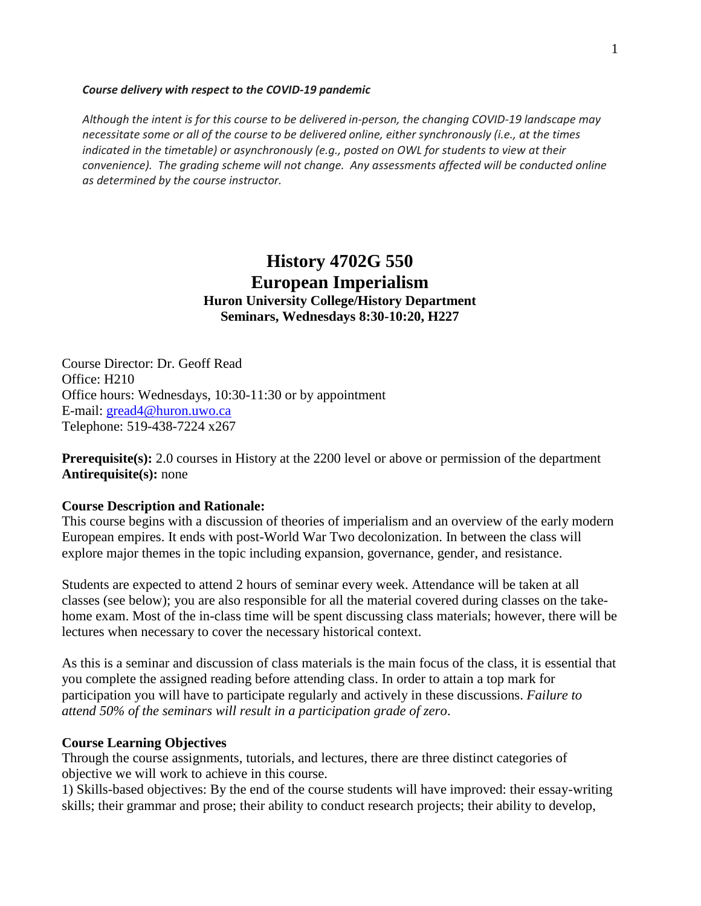#### *Course delivery with respect to the COVID-19 pandemic*

*Although the intent is for this course to be delivered in-person, the changing COVID-19 landscape may necessitate some or all of the course to be delivered online, either synchronously (i.e., at the times indicated in the timetable) or asynchronously (e.g., posted on OWL for students to view at their convenience). The grading scheme will not change. Any assessments affected will be conducted online as determined by the course instructor.*

# **History 4702G 550 European Imperialism Huron University College/History Department Seminars, Wednesdays 8:30-10:20, H227**

Course Director: Dr. Geoff Read Office: H210 Office hours: Wednesdays, 10:30-11:30 or by appointment E-mail: [gread4@huron.uwo.ca](mailto:gread4@huron.uwo.ca) Telephone: 519-438-7224 x267

**Prerequisite(s):** 2.0 courses in History at the 2200 level or above or permission of the department **Antirequisite(s):** none

### **Course Description and Rationale:**

This course begins with a discussion of theories of imperialism and an overview of the early modern European empires. It ends with post-World War Two decolonization. In between the class will explore major themes in the topic including expansion, governance, gender, and resistance.

Students are expected to attend 2 hours of seminar every week. Attendance will be taken at all classes (see below); you are also responsible for all the material covered during classes on the takehome exam. Most of the in-class time will be spent discussing class materials; however, there will be lectures when necessary to cover the necessary historical context.

As this is a seminar and discussion of class materials is the main focus of the class, it is essential that you complete the assigned reading before attending class. In order to attain a top mark for participation you will have to participate regularly and actively in these discussions. *Failure to attend 50% of the seminars will result in a participation grade of zero*.

### **Course Learning Objectives**

Through the course assignments, tutorials, and lectures, there are three distinct categories of objective we will work to achieve in this course.

1) Skills-based objectives: By the end of the course students will have improved: their essay-writing skills; their grammar and prose; their ability to conduct research projects; their ability to develop,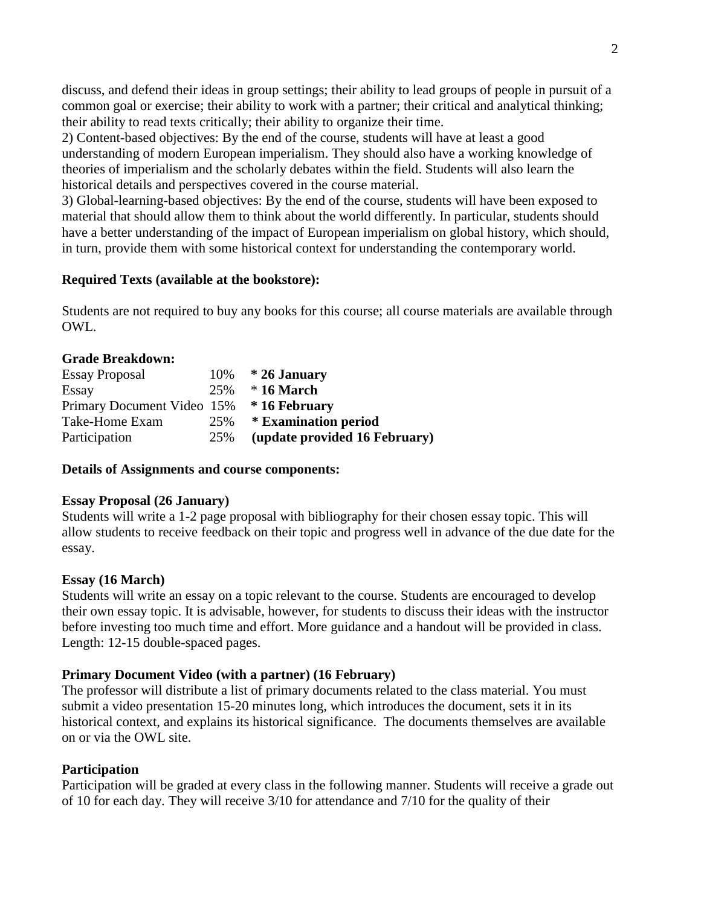discuss, and defend their ideas in group settings; their ability to lead groups of people in pursuit of a common goal or exercise; their ability to work with a partner; their critical and analytical thinking; their ability to read texts critically; their ability to organize their time.

2) Content-based objectives: By the end of the course, students will have at least a good understanding of modern European imperialism. They should also have a working knowledge of theories of imperialism and the scholarly debates within the field. Students will also learn the historical details and perspectives covered in the course material.

3) Global-learning-based objectives: By the end of the course, students will have been exposed to material that should allow them to think about the world differently. In particular, students should have a better understanding of the impact of European imperialism on global history, which should, in turn, provide them with some historical context for understanding the contemporary world.

### **Required Texts (available at the bookstore):**

Students are not required to buy any books for this course; all course materials are available through OWL.

### **Grade Breakdown:**

| <b>Essay Proposal</b>                    |     | 10% $*$ 26 January            |
|------------------------------------------|-----|-------------------------------|
| Essay                                    |     | $25\%$ * 16 March             |
| Primary Document Video 15% * 16 February |     |                               |
| Take-Home Exam                           | 25% | * Examination period          |
| Participation                            | 25% | (update provided 16 February) |

### **Details of Assignments and course components:**

### **Essay Proposal (26 January)**

Students will write a 1-2 page proposal with bibliography for their chosen essay topic. This will allow students to receive feedback on their topic and progress well in advance of the due date for the essay.

## **Essay (16 March)**

Students will write an essay on a topic relevant to the course. Students are encouraged to develop their own essay topic. It is advisable, however, for students to discuss their ideas with the instructor before investing too much time and effort. More guidance and a handout will be provided in class. Length: 12-15 double-spaced pages.

## **Primary Document Video (with a partner) (16 February)**

The professor will distribute a list of primary documents related to the class material. You must submit a video presentation 15-20 minutes long, which introduces the document, sets it in its historical context, and explains its historical significance. The documents themselves are available on or via the OWL site.

## **Participation**

Participation will be graded at every class in the following manner. Students will receive a grade out of 10 for each day. They will receive 3/10 for attendance and 7/10 for the quality of their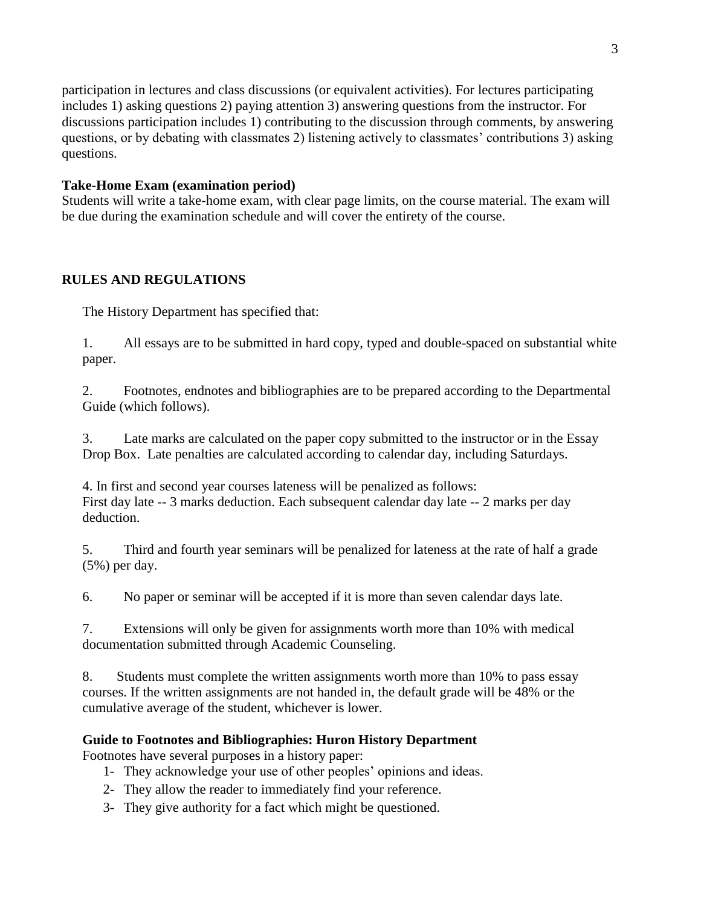participation in lectures and class discussions (or equivalent activities). For lectures participating includes 1) asking questions 2) paying attention 3) answering questions from the instructor. For discussions participation includes 1) contributing to the discussion through comments, by answering questions, or by debating with classmates 2) listening actively to classmates' contributions 3) asking questions.

## **Take-Home Exam (examination period)**

Students will write a take-home exam, with clear page limits, on the course material. The exam will be due during the examination schedule and will cover the entirety of the course.

# **RULES AND REGULATIONS**

The History Department has specified that:

1. All essays are to be submitted in hard copy, typed and double-spaced on substantial white paper.

2. Footnotes, endnotes and bibliographies are to be prepared according to the Departmental Guide (which follows).

3. Late marks are calculated on the paper copy submitted to the instructor or in the Essay Drop Box. Late penalties are calculated according to calendar day, including Saturdays.

4. In first and second year courses lateness will be penalized as follows: First day late -- 3 marks deduction. Each subsequent calendar day late -- 2 marks per day deduction.

5. Third and fourth year seminars will be penalized for lateness at the rate of half a grade (5%) per day.

6. No paper or seminar will be accepted if it is more than seven calendar days late.

7. Extensions will only be given for assignments worth more than 10% with medical documentation submitted through Academic Counseling.

8. Students must complete the written assignments worth more than 10% to pass essay courses. If the written assignments are not handed in, the default grade will be 48% or the cumulative average of the student, whichever is lower.

# **Guide to Footnotes and Bibliographies: Huron History Department**

Footnotes have several purposes in a history paper:

- 1- They acknowledge your use of other peoples' opinions and ideas.
- 2- They allow the reader to immediately find your reference.
- 3- They give authority for a fact which might be questioned.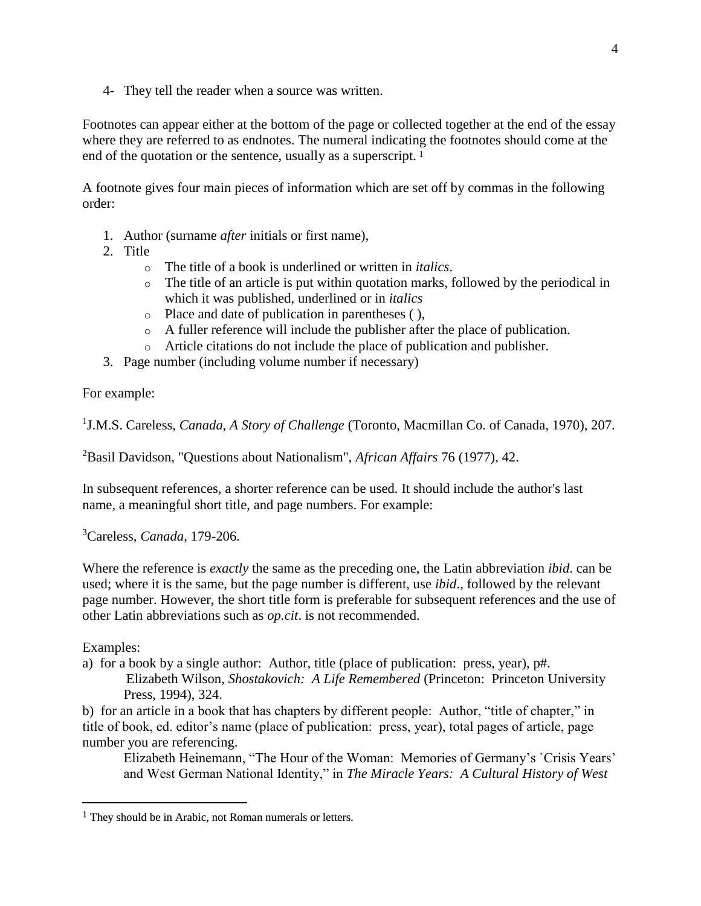4- They tell the reader when a source was written.

Footnotes can appear either at the bottom of the page or collected together at the end of the essay where they are referred to as endnotes. The numeral indicating the footnotes should come at the end of the quotation or the sentence, usually as a superscript. <sup>1</sup>

A footnote gives four main pieces of information which are set off by commas in the following order:

- 1. Author (surname *after* initials or first name),
- 2. Title
	- o The title of a book is underlined or written in *italics*.
	- o The title of an article is put within quotation marks, followed by the periodical in which it was published, underlined or in *italics*
	- o Place and date of publication in parentheses ( ),
	- o A fuller reference will include the publisher after the place of publication.
	- o Article citations do not include the place of publication and publisher.
- 3. Page number (including volume number if necessary)

For example:

<sup>1</sup>J.M.S. Careless, *Canada, A Story of Challenge* (Toronto, Macmillan Co. of Canada, 1970), 207.

<sup>2</sup>Basil Davidson, "Questions about Nationalism", *African Affairs* 76 (1977), 42.

In subsequent references, a shorter reference can be used. It should include the author's last name, a meaningful short title, and page numbers. For example:

<sup>3</sup>Careless, *Canada*, 179-206.

Where the reference is *exactly* the same as the preceding one, the Latin abbreviation *ibid*. can be used; where it is the same, but the page number is different, use *ibid*., followed by the relevant page number. However, the short title form is preferable for subsequent references and the use of other Latin abbreviations such as *op.cit*. is not recommended.

Examples:

 $\overline{a}$ 

a) for a book by a single author: Author, title (place of publication: press, year), p#. Elizabeth Wilson, *Shostakovich: A Life Remembered* (Princeton: Princeton University Press, 1994), 324.

b) for an article in a book that has chapters by different people: Author, "title of chapter," in title of book, ed. editor's name (place of publication: press, year), total pages of article, page number you are referencing.

Elizabeth Heinemann, "The Hour of the Woman: Memories of Germany's `Crisis Years' and West German National Identity," in *The Miracle Years: A Cultural History of West* 

<sup>&</sup>lt;sup>1</sup> They should be in Arabic, not Roman numerals or letters.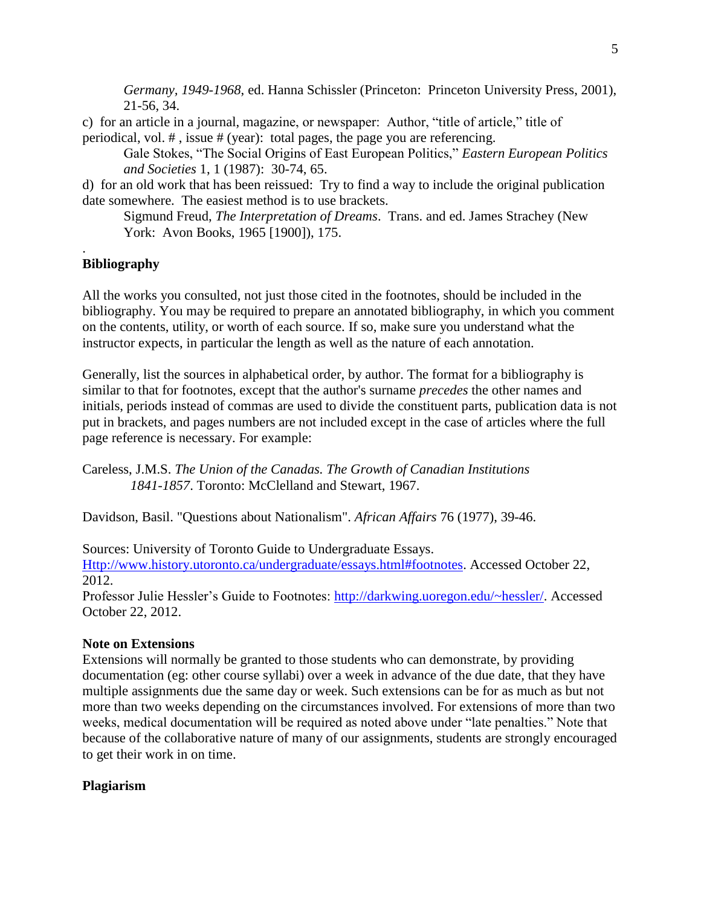*Germany, 1949-1968*, ed. Hanna Schissler (Princeton: Princeton University Press, 2001), 21-56, 34.

c) for an article in a journal, magazine, or newspaper: Author, "title of article," title of periodical, vol. # , issue # (year): total pages, the page you are referencing.

Gale Stokes, "The Social Origins of East European Politics," *Eastern European Politics and Societies* 1, 1 (1987): 30-74, 65.

d) for an old work that has been reissued: Try to find a way to include the original publication date somewhere. The easiest method is to use brackets.

Sigmund Freud, *The Interpretation of Dreams*. Trans. and ed. James Strachey (New York: Avon Books, 1965 [1900]), 175.

## **Bibliography**

.

All the works you consulted, not just those cited in the footnotes, should be included in the bibliography. You may be required to prepare an annotated bibliography, in which you comment on the contents, utility, or worth of each source. If so, make sure you understand what the instructor expects, in particular the length as well as the nature of each annotation.

Generally, list the sources in alphabetical order, by author. The format for a bibliography is similar to that for footnotes, except that the author's surname *precedes* the other names and initials, periods instead of commas are used to divide the constituent parts, publication data is not put in brackets, and pages numbers are not included except in the case of articles where the full page reference is necessary. For example:

Careless, J.M.S. *The Union of the Canadas. The Growth of Canadian Institutions 1841-1857*. Toronto: McClelland and Stewart, 1967.

Davidson, Basil. "Questions about Nationalism". *African Affairs* 76 (1977), 39-46.

Sources: University of Toronto Guide to Undergraduate Essays.

[Http://www.history.utoronto.ca/undergraduate/essays.html#footnotes.](http://www.history.utoronto.ca/undergraduate/essays.html#footnotes) Accessed October 22, 2012.

Professor Julie Hessler's Guide to Footnotes: [http://darkwing.uoregon.edu/~hessler/.](http://darkwing.uoregon.edu/~hessler/) Accessed October 22, 2012.

### **Note on Extensions**

Extensions will normally be granted to those students who can demonstrate, by providing documentation (eg: other course syllabi) over a week in advance of the due date, that they have multiple assignments due the same day or week. Such extensions can be for as much as but not more than two weeks depending on the circumstances involved. For extensions of more than two weeks, medical documentation will be required as noted above under "late penalties." Note that because of the collaborative nature of many of our assignments, students are strongly encouraged to get their work in on time.

### **Plagiarism**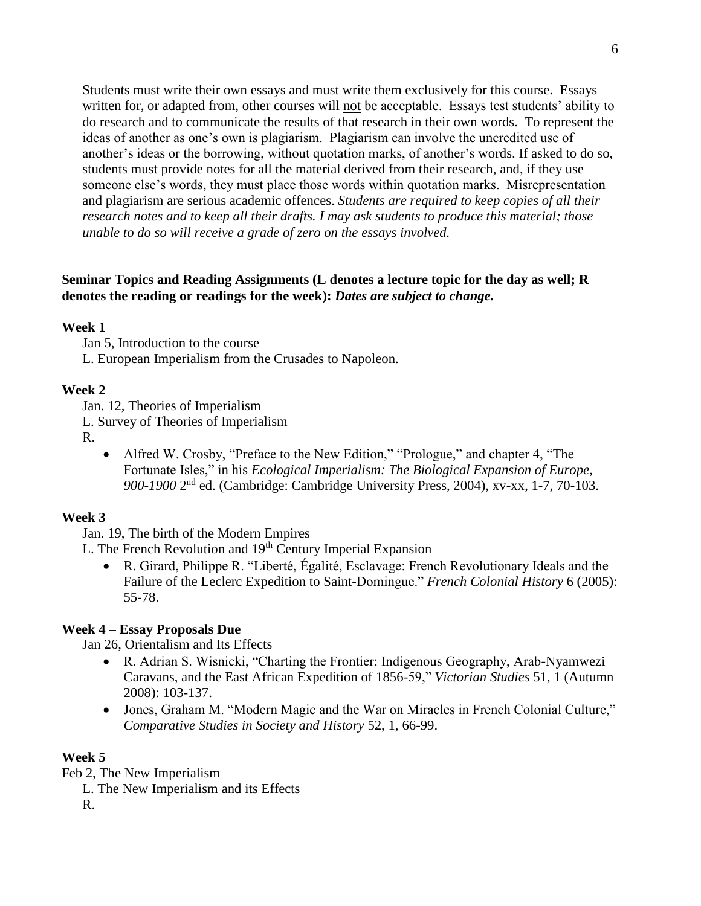Students must write their own essays and must write them exclusively for this course. Essays written for, or adapted from, other courses will not be acceptable. Essays test students' ability to do research and to communicate the results of that research in their own words. To represent the ideas of another as one's own is plagiarism. Plagiarism can involve the uncredited use of another's ideas or the borrowing, without quotation marks, of another's words. If asked to do so, students must provide notes for all the material derived from their research, and, if they use someone else's words, they must place those words within quotation marks. Misrepresentation and plagiarism are serious academic offences. *Students are required to keep copies of all their research notes and to keep all their drafts. I may ask students to produce this material; those unable to do so will receive a grade of zero on the essays involved.*

### **Seminar Topics and Reading Assignments (L denotes a lecture topic for the day as well; R denotes the reading or readings for the week):** *Dates are subject to change.*

### **Week 1**

Jan 5, Introduction to the course L. European Imperialism from the Crusades to Napoleon.

#### **Week 2**

Jan. 12, Theories of Imperialism

L. Survey of Theories of Imperialism

R.

 Alfred W. Crosby, "Preface to the New Edition," "Prologue," and chapter 4, "The Fortunate Isles," in his *Ecological Imperialism: The Biological Expansion of Europe,*  900-1900 2<sup>nd</sup> ed. (Cambridge: Cambridge University Press, 2004), xv-xx, 1-7, 70-103.

### **Week 3**

Jan. 19, The birth of the Modern Empires

L. The French Revolution and  $19<sup>th</sup>$  Century Imperial Expansion

 R. Girard, Philippe R. "Liberté, Égalité, Esclavage: French Revolutionary Ideals and the Failure of the Leclerc Expedition to Saint-Domingue." *French Colonial History* 6 (2005): 55-78.

### **Week 4 – Essay Proposals Due**

Jan 26, Orientalism and Its Effects

- R. Adrian S. Wisnicki, "Charting the Frontier: Indigenous Geography, Arab-Nyamwezi Caravans, and the East African Expedition of 1856-59," *Victorian Studies* 51, 1 (Autumn 2008): 103-137.
- Jones, Graham M. "Modern Magic and the War on Miracles in French Colonial Culture," *Comparative Studies in Society and History* 52, 1, 66-99.

### **Week 5**

Feb 2, The New Imperialism

L. The New Imperialism and its Effects

R.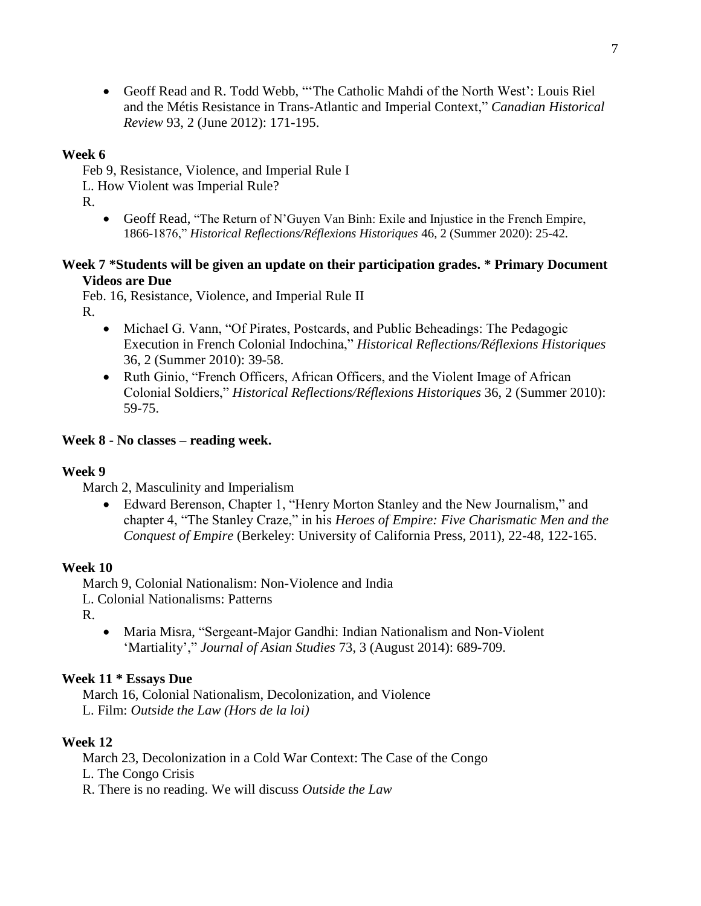Geoff Read and R. Todd Webb, "'The Catholic Mahdi of the North West': Louis Riel and the Métis Resistance in Trans-Atlantic and Imperial Context," *Canadian Historical Review* 93, 2 (June 2012): 171-195.

### **Week 6**

Feb 9, Resistance, Violence, and Imperial Rule I

L. How Violent was Imperial Rule?

R.

 Geoff Read, "The Return of N'Guyen Van Binh: Exile and Injustice in the French Empire, 1866-1876," *Historical Reflections/Réflexions Historiques* 46, 2 (Summer 2020): 25-42.

### **Week 7 \*Students will be given an update on their participation grades. \* Primary Document Videos are Due**

Feb. 16, Resistance, Violence, and Imperial Rule II

R.

- Michael G. Vann, "Of Pirates, Postcards, and Public Beheadings: The Pedagogic Execution in French Colonial Indochina," *Historical Reflections/Réflexions Historiques* 36, 2 (Summer 2010): 39-58.
- Ruth Ginio, "French Officers, African Officers, and the Violent Image of African Colonial Soldiers," *Historical Reflections/Réflexions Historiques* 36, 2 (Summer 2010): 59-75.

## **Week 8 - No classes – reading week.**

## **Week 9**

March 2, Masculinity and Imperialism

 Edward Berenson, Chapter 1, "Henry Morton Stanley and the New Journalism," and chapter 4, "The Stanley Craze," in his *Heroes of Empire: Five Charismatic Men and the Conquest of Empire* (Berkeley: University of California Press, 2011), 22-48, 122-165.

## **Week 10**

March 9, Colonial Nationalism: Non-Violence and India

L. Colonial Nationalisms: Patterns

R.

 Maria Misra, "Sergeant-Major Gandhi: Indian Nationalism and Non-Violent 'Martiality'," *Journal of Asian Studies* 73, 3 (August 2014): 689-709.

## **Week 11 \* Essays Due**

March 16, Colonial Nationalism, Decolonization, and Violence L. Film: *Outside the Law (Hors de la loi)*

## **Week 12**

March 23, Decolonization in a Cold War Context: The Case of the Congo L. The Congo Crisis R. There is no reading. We will discuss *Outside the Law*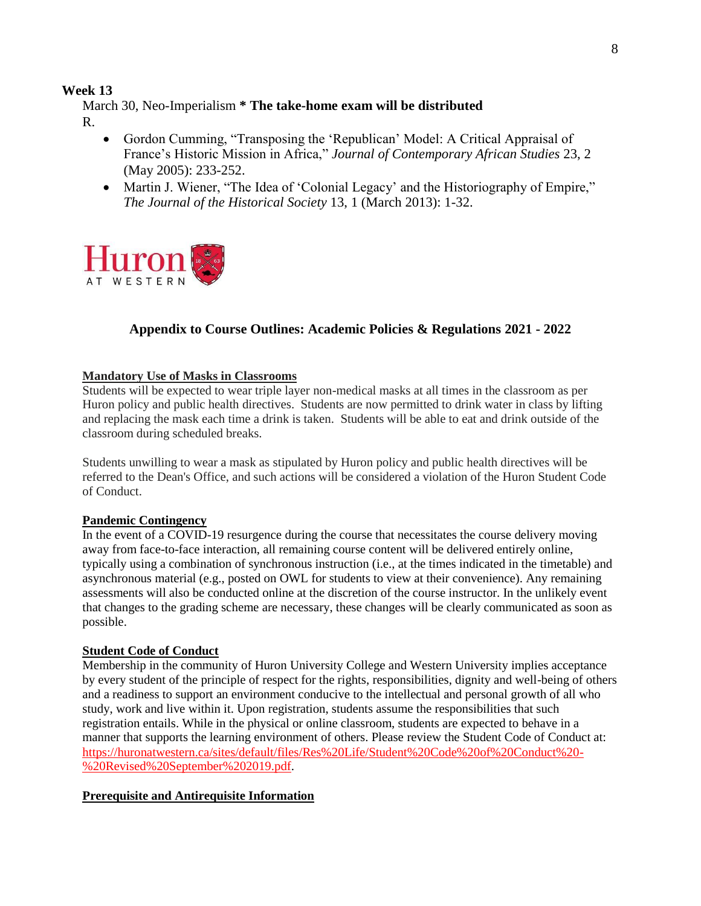### **Week 13**

March 30, Neo-Imperialism **\* The take-home exam will be distributed** R.

- Gordon Cumming, "Transposing the 'Republican' Model: A Critical Appraisal of France's Historic Mission in Africa," *Journal of Contemporary African Studies* 23, 2 (May 2005): 233-252.
- Martin J. Wiener, "The Idea of 'Colonial Legacy' and the Historiography of Empire," *The Journal of the Historical Society* 13, 1 (March 2013): 1-32.



## **Appendix to Course Outlines: Academic Policies & Regulations 2021 - 2022**

#### **Mandatory Use of Masks in Classrooms**

Students will be expected to wear triple layer non-medical masks at all times in the classroom as per Huron policy and public health directives. Students are now permitted to drink water in class by lifting and replacing the mask each time a drink is taken. Students will be able to eat and drink outside of the classroom during scheduled breaks.

Students unwilling to wear a mask as stipulated by Huron policy and public health directives will be referred to the Dean's Office, and such actions will be considered a violation of the Huron Student Code of Conduct.

### **Pandemic Contingency**

In the event of a COVID-19 resurgence during the course that necessitates the course delivery moving away from face-to-face interaction, all remaining course content will be delivered entirely online, typically using a combination of synchronous instruction (i.e., at the times indicated in the timetable) and asynchronous material (e.g., posted on OWL for students to view at their convenience). Any remaining assessments will also be conducted online at the discretion of the course instructor. In the unlikely event that changes to the grading scheme are necessary, these changes will be clearly communicated as soon as possible.

### **Student Code of Conduct**

Membership in the community of Huron University College and Western University implies acceptance by every student of the principle of respect for the rights, responsibilities, dignity and well-being of others and a readiness to support an environment conducive to the intellectual and personal growth of all who study, work and live within it. Upon registration, students assume the responsibilities that such registration entails. While in the physical or online classroom, students are expected to behave in a manner that supports the learning environment of others. Please review the Student Code of Conduct at: [https://huronatwestern.ca/sites/default/files/Res%20Life/Student%20Code%20of%20Conduct%20-](https://huronatwestern.ca/sites/default/files/Res%20Life/Student%20Code%20of%20Conduct%20-%20Revised%20September%202019.pdf) [%20Revised%20September%202019.pdf.](https://huronatwestern.ca/sites/default/files/Res%20Life/Student%20Code%20of%20Conduct%20-%20Revised%20September%202019.pdf)

### **Prerequisite and Antirequisite Information**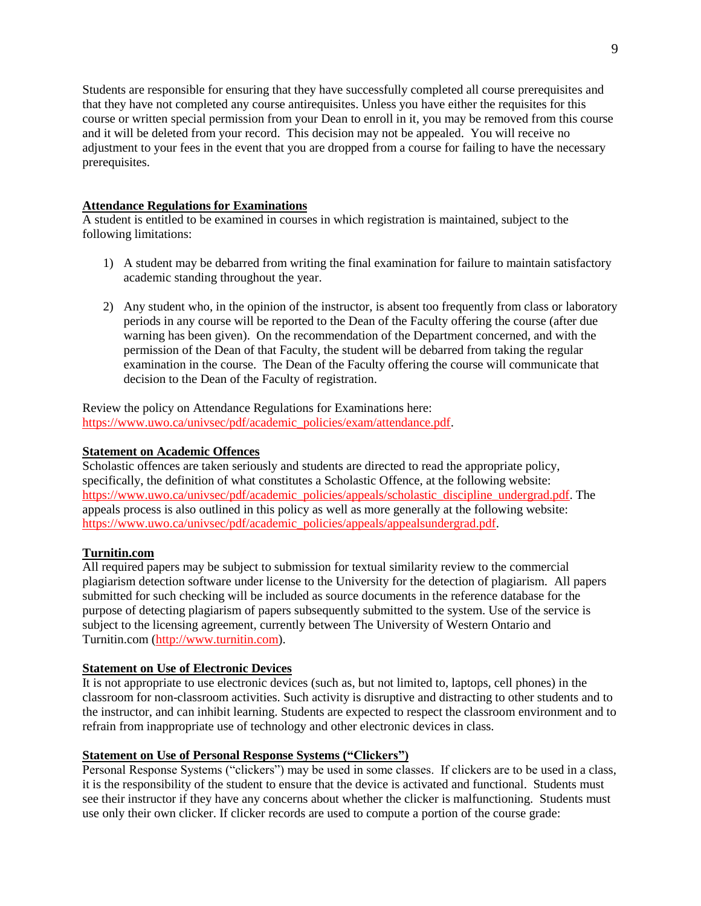Students are responsible for ensuring that they have successfully completed all course prerequisites and that they have not completed any course antirequisites. Unless you have either the requisites for this course or written special permission from your Dean to enroll in it, you may be removed from this course and it will be deleted from your record. This decision may not be appealed. You will receive no adjustment to your fees in the event that you are dropped from a course for failing to have the necessary prerequisites.

#### **Attendance Regulations for Examinations**

A student is entitled to be examined in courses in which registration is maintained, subject to the following limitations:

- 1) A student may be debarred from writing the final examination for failure to maintain satisfactory academic standing throughout the year.
- 2) Any student who, in the opinion of the instructor, is absent too frequently from class or laboratory periods in any course will be reported to the Dean of the Faculty offering the course (after due warning has been given). On the recommendation of the Department concerned, and with the permission of the Dean of that Faculty, the student will be debarred from taking the regular examination in the course. The Dean of the Faculty offering the course will communicate that decision to the Dean of the Faculty of registration.

Review the policy on Attendance Regulations for Examinations here: [https://www.uwo.ca/univsec/pdf/academic\\_policies/exam/attendance.pdf.](https://www.uwo.ca/univsec/pdf/academic_policies/exam/attendance.pdf)

#### **Statement on Academic Offences**

Scholastic offences are taken seriously and students are directed to read the appropriate policy, specifically, the definition of what constitutes a Scholastic Offence, at the following website: [https://www.uwo.ca/univsec/pdf/academic\\_policies/appeals/scholastic\\_discipline\\_undergrad.pdf.](https://www.uwo.ca/univsec/pdf/academic_policies/appeals/scholastic_discipline_undergrad.pdf) The appeals process is also outlined in this policy as well as more generally at the following website: [https://www.uwo.ca/univsec/pdf/academic\\_policies/appeals/appealsundergrad.pdf.](https://www.uwo.ca/univsec/pdf/academic_policies/appeals/appealsundergrad.pdf)

### **Turnitin.com**

All required papers may be subject to submission for textual similarity review to the commercial plagiarism detection software under license to the University for the detection of plagiarism. All papers submitted for such checking will be included as source documents in the reference database for the purpose of detecting plagiarism of papers subsequently submitted to the system. Use of the service is subject to the licensing agreement, currently between The University of Western Ontario and Turnitin.com [\(http://www.turnitin.com\)](http://www.turnitin.com/).

### **Statement on Use of Electronic Devices**

It is not appropriate to use electronic devices (such as, but not limited to, laptops, cell phones) in the classroom for non-classroom activities. Such activity is disruptive and distracting to other students and to the instructor, and can inhibit learning. Students are expected to respect the classroom environment and to refrain from inappropriate use of technology and other electronic devices in class.

### **Statement on Use of Personal Response Systems ("Clickers")**

Personal Response Systems ("clickers") may be used in some classes. If clickers are to be used in a class, it is the responsibility of the student to ensure that the device is activated and functional. Students must see their instructor if they have any concerns about whether the clicker is malfunctioning. Students must use only their own clicker. If clicker records are used to compute a portion of the course grade: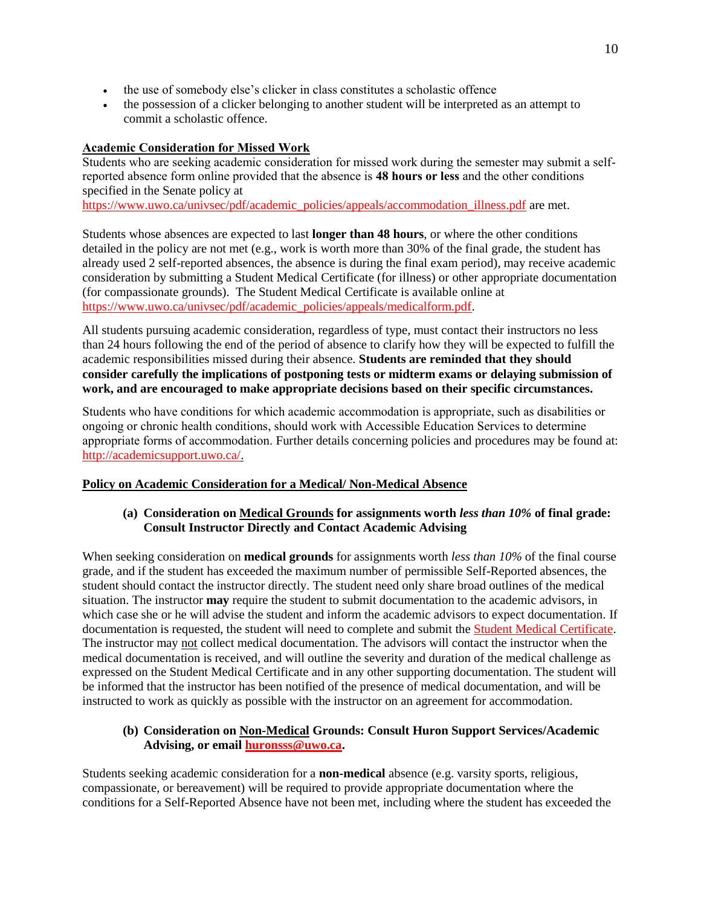- the use of somebody else's clicker in class constitutes a scholastic offence
- the possession of a clicker belonging to another student will be interpreted as an attempt to commit a scholastic offence.

### **Academic Consideration for Missed Work**

Students who are seeking academic consideration for missed work during the semester may submit a selfreported absence form online provided that the absence is **48 hours or less** and the other conditions specified in the Senate policy at

[https://www.uwo.ca/univsec/pdf/academic\\_policies/appeals/accommodation\\_illness.pdf](https://www.uwo.ca/univsec/pdf/academic_policies/appeals/accommodation_illness.pdf) are met.

Students whose absences are expected to last **longer than 48 hours**, or where the other conditions detailed in the policy are not met (e.g., work is worth more than 30% of the final grade, the student has already used 2 self-reported absences, the absence is during the final exam period), may receive academic consideration by submitting a Student Medical Certificate (for illness) or other appropriate documentation (for compassionate grounds). The Student Medical Certificate is available online at [https://www.uwo.ca/univsec/pdf/academic\\_policies/appeals/medicalform.pdf.](https://www.uwo.ca/univsec/pdf/academic_policies/appeals/medicalform.pdf)

All students pursuing academic consideration, regardless of type, must contact their instructors no less than 24 hours following the end of the period of absence to clarify how they will be expected to fulfill the academic responsibilities missed during their absence. **Students are reminded that they should consider carefully the implications of postponing tests or midterm exams or delaying submission of work, and are encouraged to make appropriate decisions based on their specific circumstances.**

Students who have conditions for which academic accommodation is appropriate, such as disabilities or ongoing or chronic health conditions, should work with Accessible Education Services to determine appropriate forms of accommodation. Further details concerning policies and procedures may be found at: [http://academicsupport.uwo.ca/.](http://academicsupport.uwo.ca/)

### **Policy on Academic Consideration for a Medical/ Non-Medical Absence**

### **(a) Consideration on Medical Grounds for assignments worth** *less than 10%* **of final grade: Consult Instructor Directly and Contact Academic Advising**

When seeking consideration on **medical grounds** for assignments worth *less than 10%* of the final course grade, and if the student has exceeded the maximum number of permissible Self-Reported absences, the student should contact the instructor directly. The student need only share broad outlines of the medical situation. The instructor **may** require the student to submit documentation to the academic advisors, in which case she or he will advise the student and inform the academic advisors to expect documentation. If documentation is requested, the student will need to complete and submit the [Student Medical Certificate.](https://www.uwo.ca/univsec/pdf/academic_policies/appeals/medicalform_15JUN.pdf) The instructor may not collect medical documentation. The advisors will contact the instructor when the medical documentation is received, and will outline the severity and duration of the medical challenge as expressed on the Student Medical Certificate and in any other supporting documentation. The student will be informed that the instructor has been notified of the presence of medical documentation, and will be instructed to work as quickly as possible with the instructor on an agreement for accommodation.

### **(b) Consideration on Non-Medical Grounds: Consult Huron Support Services/Academic Advising, or email [huronsss@uwo.ca.](mailto:huronsss@uwo.ca)**

Students seeking academic consideration for a **non-medical** absence (e.g. varsity sports, religious, compassionate, or bereavement) will be required to provide appropriate documentation where the conditions for a Self-Reported Absence have not been met, including where the student has exceeded the